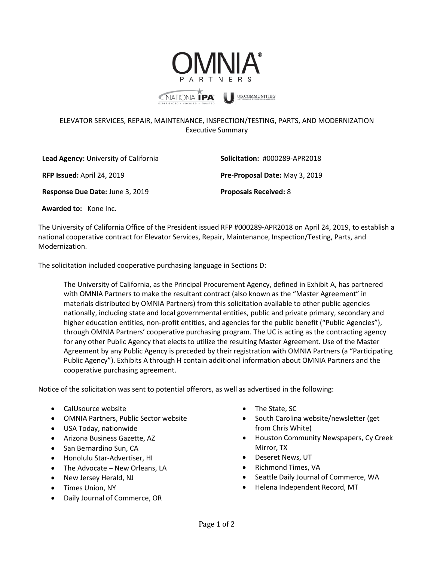

## ELEVATOR SERVICES, REPAIR, MAINTENANCE, INSPECTION/TESTING, PARTS, AND MODERNIZATION Executive Summary

**Lead Agency:** University of California **Solicitation:** #000289-APR2018 **RFP Issued:** April 24, 2019 **Pre-Proposal Date:** May 3, 2019 **Response Due Date:** June 3, 2019 **Proposals Received:** 8

 **Awarded to:** Kone Inc.

The University of California Office of the President issued RFP #000289-APR2018 on April 24, 2019, to establish a national cooperative contract for Elevator Services, Repair, Maintenance, Inspection/Testing, Parts, and Modernization.

The solicitation included cooperative purchasing language in Sections D:

The University of California, as the Principal Procurement Agency, defined in Exhibit A, has partnered with OMNIA Partners to make the resultant contract (also known as the "Master Agreement" in materials distributed by OMNIA Partners) from this solicitation available to other public agencies nationally, including state and local governmental entities, public and private primary, secondary and higher education entities, non-profit entities, and agencies for the public benefit ("Public Agencies"), through OMNIA Partners' cooperative purchasing program. The UC is acting as the contracting agency for any other Public Agency that elects to utilize the resulting Master Agreement. Use of the Master Agreement by any Public Agency is preceded by their registration with OMNIA Partners (a "Participating Public Agency"). Exhibits A through H contain additional information about OMNIA Partners and the cooperative purchasing agreement.

Notice of the solicitation was sent to potential offerors, as well as advertised in the following:

- CalUsource website
- OMNIA Partners, Public Sector website
- USA Today, nationwide
- Arizona Business Gazette, AZ
- San Bernardino Sun, CA
- Honolulu Star-Advertiser, HI
- The Advocate New Orleans, LA
- New Jersey Herald, NJ
- Times Union, NY
- Daily Journal of Commerce, OR
- The State, SC
- South Carolina website/newsletter (get from Chris White)
- Houston Community Newspapers, Cy Creek Mirror, TX
- Deseret News, UT
- Richmond Times, VA
- Seattle Daily Journal of Commerce, WA
- Helena Independent Record, MT